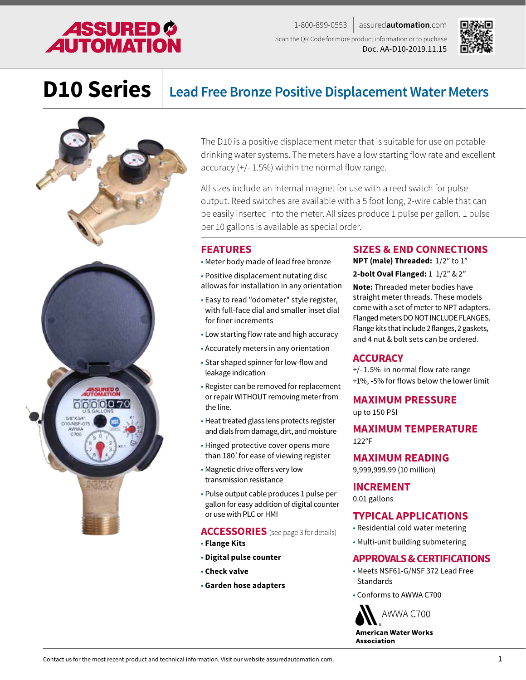## **ASSURED \$<br>AUTOMATION**

1-800-899-0553 assured**automation**.com Scan the QR Code for more product information or to puchase Doc. AA-D10-2019.11.15



### **D10 Series Lead Free Bronze Positive Displacement Water Meters**



The D10 is a positive displacement meter that is suitable for use on potable drinking water systems. The meters have a low starting flow rate and excellent accuracy (+/- 1.5%) within the normal flow range.

All sizes include an internal magnet for use with a reed switch for pulse output. Reed switches are available with a 5 foot long, 2-wire cable that can be easily inserted into the meter. All sizes produce 1 pulse per gallon. 1 pulse per 10 gallons is available as special order.

### **FEATURES**

- Meter body made of lead free bronze
- Positive displacement nutating disc allowas for installation in any orientation
- Easy to read "odometer" style register, with full-face dial and smaller inset dial for finer increments
- Low starting flow rate and high accuracy
- Accurately meters in any orientation
- Star shaped spinner for low-flow and leakage indication
- Register can be removed for replacement or repair WITHOUT removing meter from the line.
- Heat treated glass lens protects register and dials from damage, dirt, and moisture
- Hinged protective cover opens more than 180˚for ease of viewing register
- Magnetic drive offers very low transmission resistance
- Pulse output cable produces 1 pulse per gallon for easy addition of digital counter or use with PLC or HMI

**ACCESSORIES** (see page 3 for details)

- • **Flange Kits**
- • **Digital pulse counter**
- • **Check valve**
- • **Garden hose adapters**

### **SIZES & END CONNECTIONS**

**NPT (male) Threaded:** 1/2" to 1"

**2-bolt Oval Flanged:** 1 1/2" & 2"

**Note:** Threaded meter bodies have straight meter threads. These models come with a set of meter to NPT adapters. Flanged meters DO NOT INCLUDE FLANGES. Flange kits that include 2 flanges, 2 gaskets, and 4 nut & bolt sets can be ordered.

### **ACCURACY**

+/- 1.5% in normal flow rate range +1%, -5% for flows below the lower limit

### **MAXIMUM PRESSURE**

up to 150 PSI

**MAXIMUM TEMPERATURE** 122°F

**MAXIMUM READING**

9,999,999.99 (10 million)

### **INCREMENT**

0.01 gallons

### **TYPICAL APPLICATIONS**

- Residential cold water metering
- Multi-unit building submetering

### **APPROVALS & CERTIFICATIONS**

- Meets NSF61-G/NSF 372 Lead Free **Standards**
- Conforms to AWWA C700

AWWA C700 **American Water Works Association**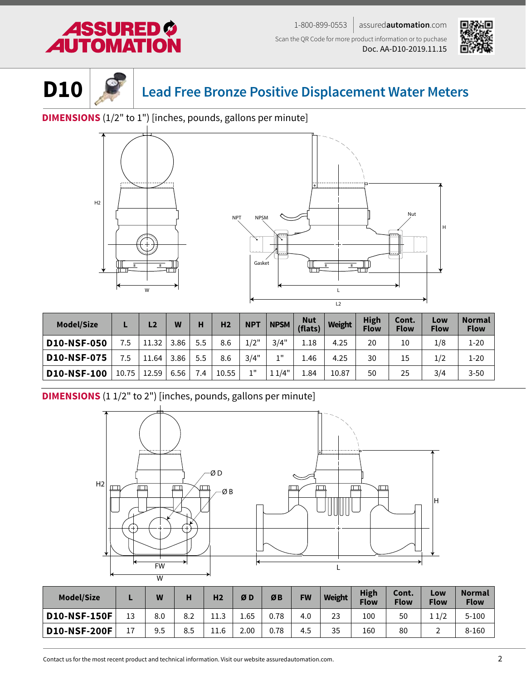# SURED

1-800-899-0553 assured**automation**.com Scan the QR Code for more product information or to puchase Doc. AA-D10-2019.11.15





**D10 Lead Free Bronze Positive Displacement Water Meters**

**DIMENSIONS** (1/2" to 1") [inches, pounds, gallons per minute]



| <b>Model/Size</b>  |       | L <sub>2</sub> | W    | н   | H <sub>2</sub> | <b>NPT</b> | <b>NPSM</b> | <b>Nut</b><br>(flats) | Weight | <b>High</b><br><b>Flow</b> | Cont.<br><b>Flow</b> | Low<br><b>Flow</b> | <b>Normal</b><br><b>Flow</b> |
|--------------------|-------|----------------|------|-----|----------------|------------|-------------|-----------------------|--------|----------------------------|----------------------|--------------------|------------------------------|
| <b>D10-NSF-050</b> | 7.5   | 11.32          | 3.86 | 5.5 | 8.6            | 1/2"       | 3/4"        | 1.18                  | 4.25   | 20                         | 10                   | 1/8                | $1 - 20$                     |
| <b>D10-NSF-075</b> | 7.5   | 11.64          | 3.86 | 5.5 | 8.6            | 3/4"       | 111         | 4.46                  | 4.25   | 30                         | 15                   | 1/2                | $1 - 20$                     |
| <b>D10-NSF-100</b> | 10.75 | 12.59          | 6.56 | 7.4 | 10.55          | 111        | 11/4"       | 1.84                  | 10.87  | 50                         | 25                   | 3/4                | $3 - 50$                     |

**DIMENSIONS** (1 1/2" to 2") [inches, pounds, gallons per minute]



| <b>Model/Size</b>   |    | W   | н   | H <sub>2</sub>    | ØD   | ØB   | <b>FW</b> | Weight | High<br><b>Flow</b> | Cont.<br><b>Flow</b> | Low<br><b>Flow</b> | <b>Normal</b><br><b>Flow</b> |
|---------------------|----|-----|-----|-------------------|------|------|-----------|--------|---------------------|----------------------|--------------------|------------------------------|
| <b>D10-NSF-150F</b> | 13 | 8.0 | 8.2 | . .<br>11<br>⊥⊥.J | 1.65 | 0.78 | 4.0       | 23     | 100                 | 50                   | 1/2                | $5 - 100$                    |
| <b>D10-NSF-200F</b> | 17 | 9.5 | 8.5 | 11.6              | 2.00 | 0.78 | 4.5       | 35     | 160                 | 80                   |                    | 8-160                        |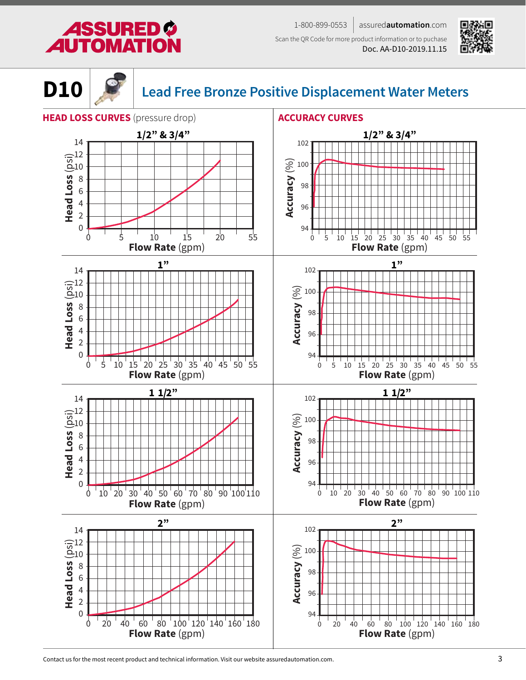### 1-800-899-0553 assured**automation**.com Scan the QR Code for more product information or to puchase

Doc. AA-D10-2019.11.15







### **D10 Lead Free Bronze Positive Displacement Water Meters**



Contact us for the most recent product and technical information. Visit our website assuredautomation.com.